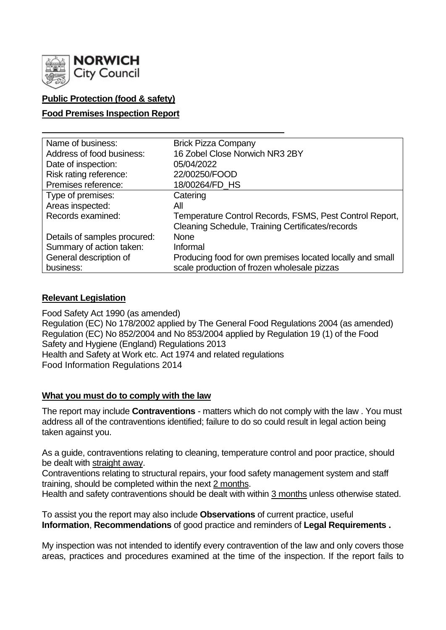

# **Public Protection (food & safety)**

# **Food Premises Inspection Report**

| Name of business:            | <b>Brick Pizza Company</b>                                |
|------------------------------|-----------------------------------------------------------|
| Address of food business:    | 16 Zobel Close Norwich NR3 2BY                            |
| Date of inspection:          | 05/04/2022                                                |
| Risk rating reference:       | 22/00250/FOOD                                             |
| Premises reference:          | 18/00264/FD HS                                            |
| Type of premises:            | Catering                                                  |
| Areas inspected:             | All                                                       |
| Records examined:            | Temperature Control Records, FSMS, Pest Control Report,   |
|                              | Cleaning Schedule, Training Certificates/records          |
| Details of samples procured: | <b>None</b>                                               |
| Summary of action taken:     | Informal                                                  |
| General description of       | Producing food for own premises located locally and small |
| business:                    | scale production of frozen wholesale pizzas               |

# **Relevant Legislation**

Food Safety Act 1990 (as amended) Regulation (EC) No 178/2002 applied by The General Food Regulations 2004 (as amended) Regulation (EC) No 852/2004 and No 853/2004 applied by Regulation 19 (1) of the Food Safety and Hygiene (England) Regulations 2013 Health and Safety at Work etc. Act 1974 and related regulations Food Information Regulations 2014

# **What you must do to comply with the law**

The report may include **Contraventions** - matters which do not comply with the law . You must address all of the contraventions identified; failure to do so could result in legal action being taken against you.

As a guide, contraventions relating to cleaning, temperature control and poor practice, should be dealt with straight away.

Contraventions relating to structural repairs, your food safety management system and staff training, should be completed within the next 2 months.

Health and safety contraventions should be dealt with within 3 months unless otherwise stated.

To assist you the report may also include **Observations** of current practice, useful **Information**, **Recommendations** of good practice and reminders of **Legal Requirements .**

My inspection was not intended to identify every contravention of the law and only covers those areas, practices and procedures examined at the time of the inspection. If the report fails to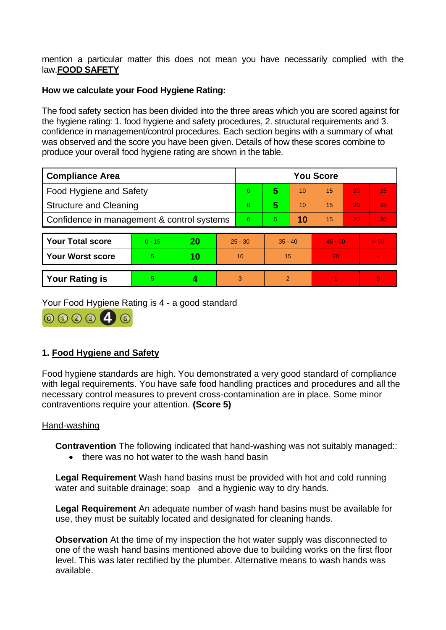mention a particular matter this does not mean you have necessarily complied with the law.**FOOD SAFETY**

# **How we calculate your Food Hygiene Rating:**

The food safety section has been divided into the three areas which you are scored against for the hygiene rating: 1. food hygiene and safety procedures, 2. structural requirements and 3. confidence in management/control procedures. Each section begins with a summary of what was observed and the score you have been given. Details of how these scores combine to produce your overall food hygiene rating are shown in the table.

| <b>Compliance Area</b>                     |          |    |           | <b>You Score</b> |               |    |           |    |                 |  |
|--------------------------------------------|----------|----|-----------|------------------|---------------|----|-----------|----|-----------------|--|
| Food Hygiene and Safety                    |          |    |           | 0                | 5             | 10 | 15        | 20 | 25              |  |
| <b>Structure and Cleaning</b>              |          |    |           | 0                | 5             | 10 | 15        | 20 | 25              |  |
| Confidence in management & control systems |          |    |           | $\overline{0}$   | 5.            | 10 | 15        | 20 | 30 <sub>1</sub> |  |
| <b>Your Total score</b>                    | $0 - 15$ | 20 | $25 - 30$ |                  | $35 - 40$     |    | $45 - 50$ |    | > 50            |  |
|                                            |          |    |           |                  |               |    |           |    |                 |  |
| <b>Your Worst score</b>                    | 5        | 10 | 10        |                  | 15            |    | 20        |    |                 |  |
| <b>Your Rating is</b>                      | 5        |    | 3         |                  | $\mathcal{P}$ |    |           |    | $\Omega$        |  |

Your Food Hygiene Rating is 4 - a good standard

00004

# **1. Food Hygiene and Safety**

Food hygiene standards are high. You demonstrated a very good standard of compliance with legal requirements. You have safe food handling practices and procedures and all the necessary control measures to prevent cross-contamination are in place. Some minor contraventions require your attention. **(Score 5)**

# Hand-washing

**Contravention** The following indicated that hand-washing was not suitably managed::

• there was no hot water to the wash hand basin

**Legal Requirement** Wash hand basins must be provided with hot and cold running water and suitable drainage; soap and a hygienic way to dry hands.

**Legal Requirement** An adequate number of wash hand basins must be available for use, they must be suitably located and designated for cleaning hands.

**Observation** At the time of my inspection the hot water supply was disconnected to one of the wash hand basins mentioned above due to building works on the first floor level. This was later rectified by the plumber. Alternative means to wash hands was available.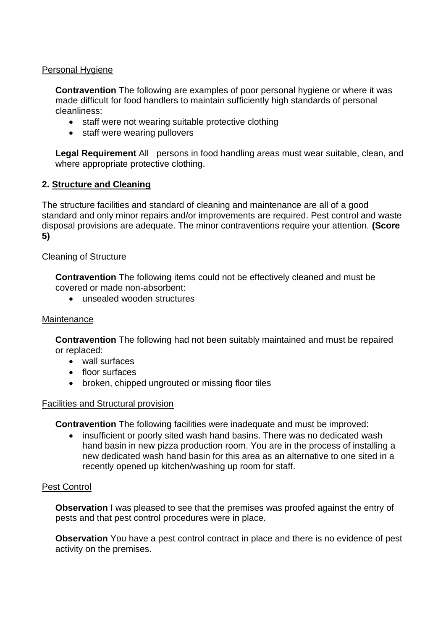# Personal Hygiene

**Contravention** The following are examples of poor personal hygiene or where it was made difficult for food handlers to maintain sufficiently high standards of personal cleanliness:

- staff were not wearing suitable protective clothing
- staff were wearing pullovers

**Legal Requirement** All persons in food handling areas must wear suitable, clean, and where appropriate protective clothing.

# **2. Structure and Cleaning**

The structure facilities and standard of cleaning and maintenance are all of a good standard and only minor repairs and/or improvements are required. Pest control and waste disposal provisions are adequate. The minor contraventions require your attention. **(Score 5)**

# Cleaning of Structure

**Contravention** The following items could not be effectively cleaned and must be covered or made non-absorbent:

• unsealed wooden structures

### **Maintenance**

**Contravention** The following had not been suitably maintained and must be repaired or replaced:

- wall surfaces
- floor surfaces
- broken, chipped ungrouted or missing floor tiles

# Facilities and Structural provision

**Contravention** The following facilities were inadequate and must be improved:

• insufficient or poorly sited wash hand basins. There was no dedicated wash hand basin in new pizza production room. You are in the process of installing a new dedicated wash hand basin for this area as an alternative to one sited in a recently opened up kitchen/washing up room for staff.

# Pest Control

**Observation** I was pleased to see that the premises was proofed against the entry of pests and that pest control procedures were in place.

**Observation** You have a pest control contract in place and there is no evidence of pest activity on the premises.